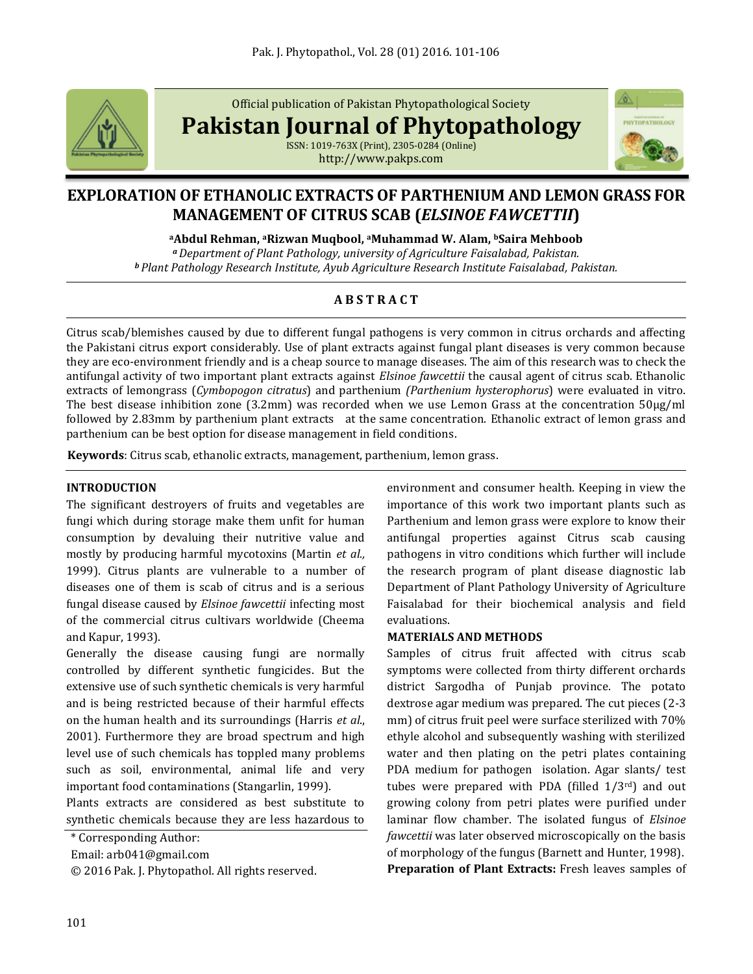

Official publication of Pakistan Phytopathological Society

**Pakistan Journal of Phytopathology**

ISSN: 1019-763X (Print), 2305-0284 (Online) http://www.pakps.com



# **EXPLORATION OF ETHANOLIC EXTRACTS OF PARTHENIUM AND LEMON GRASS FOR MANAGEMENT OF CITRUS SCAB (***ELSINOE FAWCETTII***)**

**<sup>a</sup>Abdul Rehman, aRizwan Muqbool, aMuhammad W. Alam, <sup>b</sup>Saira Mehboob** *<sup>a</sup>Department of Plant Pathology, university of Agriculture Faisalabad, Pakistan.*

*<sup>b</sup> Plant Pathology Research Institute, Ayub Agriculture Research Institute Faisalabad, Pakistan.* 

# **A B S T R A C T**

Citrus scab/blemishes caused by due to different fungal pathogens is very common in citrus orchards and affecting the Pakistani citrus export considerably. Use of plant extracts against fungal plant diseases is very common because they are eco-environment friendly and is a cheap source to manage diseases. The aim of this research was to check the antifungal activity of two important plant extracts against *Elsinoe fawcettii* the causal agent of citrus scab. Ethanolic extracts of lemongrass (*Cymbopogon citratus*) and parthenium *(Parthenium hysterophorus*) were evaluated in vitro. The best disease inhibition zone (3.2mm) was recorded when we use Lemon Grass at the concentration 50µg/ml followed by 2.83mm by parthenium plant extracts at the same concentration. Ethanolic extract of lemon grass and parthenium can be best option for disease management in field conditions.

**Keywords**: Citrus scab, ethanolic extracts, management, parthenium, lemon grass.

## **INTRODUCTION**

The significant destroyers of fruits and vegetables are fungi which during storage make them unfit for human consumption by devaluing their nutritive value and mostly by producing harmful mycotoxins (Martin *et al.,* 1999). Citrus plants are vulnerable to a number of diseases one of them is scab of citrus and is a serious fungal disease caused by *Elsinoe fawcettii* infecting most of the commercial citrus cultivars worldwide (Cheema and Kapur, 1993).

Generally the disease causing fungi are normally controlled by different synthetic fungicides. But the extensive use of such synthetic chemicals is very harmful and is being restricted because of their harmful effects on the human health and its surroundings (Harris *et al*., 2001). Furthermore they are broad spectrum and high level use of such chemicals has toppled many problems such as soil, environmental, animal life and very important food contaminations (Stangarlin, 1999).

Plants extracts are considered as best substitute to synthetic chemicals because they are less hazardous to

\* Corresponding Author:

Email: arb041@gmail.com

© 2016 Pak. J. Phytopathol. All rights reserved.

environment and consumer health. Keeping in view the importance of this work two important plants such as Parthenium and lemon grass were explore to know their antifungal properties against Citrus scab causing pathogens in vitro conditions which further will include the research program of plant disease diagnostic lab Department of Plant Pathology University of Agriculture Faisalabad for their biochemical analysis and field evaluations.

## **MATERIALS AND METHODS**

Samples of citrus fruit affected with citrus scab symptoms were collected from thirty different orchards district Sargodha of Punjab province. The potato dextrose agar medium was prepared. The cut pieces (2-3 mm) of citrus fruit peel were surface sterilized with 70% ethyle alcohol and subsequently washing with sterilized water and then plating on the petri plates containing PDA medium for pathogen isolation. Agar slants/ test tubes were prepared with PDA (filled  $1/3^{rd}$ ) and out growing colony from petri plates were purified under laminar flow chamber. The isolated fungus of *Elsinoe fawcettii* was later observed microscopically on the basis of morphology of the fungus (Barnett and Hunter, 1998). **Preparation of Plant Extracts:** Fresh leaves samples of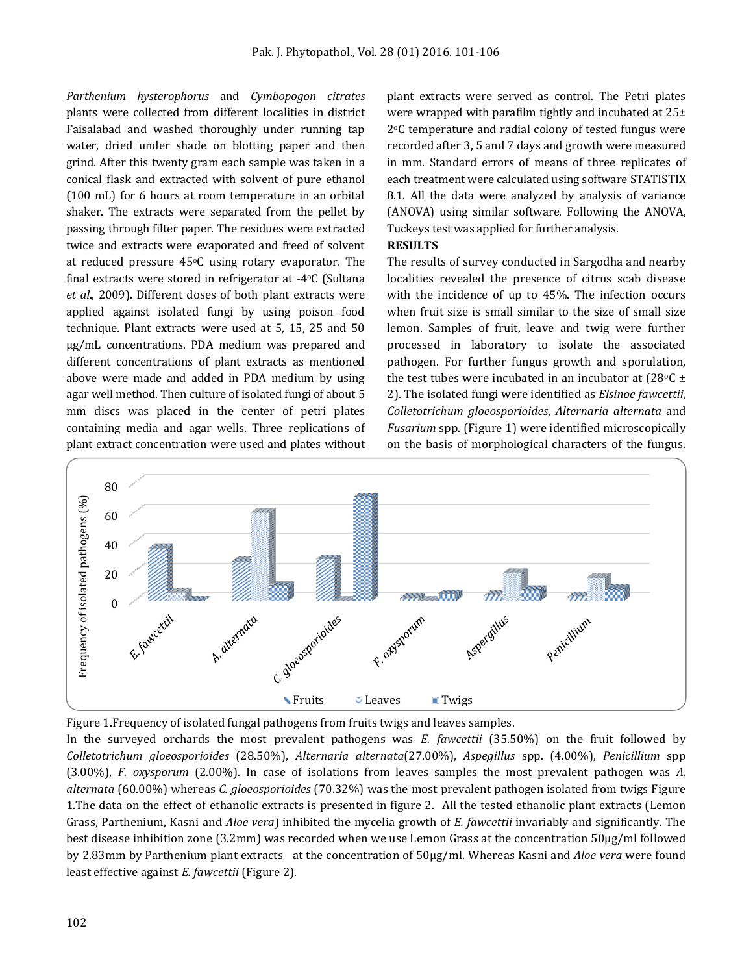*Parthenium hysterophorus* and *Cymbopogon citrates*  plants were collected from different localities in district Faisalabad and washed thoroughly under running tap water, dried under shade on blotting paper and then grind. After this twenty gram each sample was taken in a conical flask and extracted with solvent of pure ethanol (100 mL) for 6 hours at room temperature in an orbital shaker. The extracts were separated from the pellet by passing through filter paper. The residues were extracted twice and extracts were evaporated and freed of solvent at reduced pressure  $45^{\circ}$ C using rotary evaporator. The final extracts were stored in refrigerator at -4oC (Sultana *et al*., 2009). Different doses of both plant extracts were applied against isolated fungi by using poison food technique. Plant extracts were used at 5, 15, 25 and 50 µg/mL concentrations. PDA medium was prepared and different concentrations of plant extracts as mentioned above were made and added in PDA medium by using agar well method. Then culture of isolated fungi of about 5 mm discs was placed in the center of petri plates containing media and agar wells. Three replications of plant extract concentration were used and plates without

plant extracts were served as control. The Petri plates were wrapped with parafilm tightly and incubated at 25± 2oC temperature and radial colony of tested fungus were recorded after 3, 5 and 7 days and growth were measured in mm. Standard errors of means of three replicates of each treatment were calculated using software STATISTIX 8.1. All the data were analyzed by analysis of variance (ANOVA) using similar software. Following the ANOVA, Tuckeys test was applied for further analysis.

#### **RESULTS**

The results of survey conducted in Sargodha and nearby localities revealed the presence of citrus scab disease with the incidence of up to 45%. The infection occurs when fruit size is small similar to the size of small size lemon. Samples of fruit, leave and twig were further processed in laboratory to isolate the associated pathogen. For further fungus growth and sporulation, the test tubes were incubated in an incubator at  $(28°C +$ 2). The isolated fungi were identified as *Elsinoe fawcettii*, *Colletotrichum gloeosporioides*, *Alternaria alternata* and *Fusarium* spp. (Figure 1) were identified microscopically on the basis of morphological characters of the fungus.





In the surveyed orchards the most prevalent pathogens was *E. fawcettii* (35.50%) on the fruit followed by *Colletotrichum gloeosporioides* (28.50%), *Alternaria alternata*(27.00%), *Aspegillus* spp. (4.00%), *Penicillium* spp (3.00%), *F. oxysporum* (2.00%). In case of isolations from leaves samples the most prevalent pathogen was *A. alternata* (60.00%) whereas *C. gloeosporioides* (70.32%) was the most prevalent pathogen isolated from twigs Figure 1.The data on the effect of ethanolic extracts is presented in figure 2. All the tested ethanolic plant extracts (Lemon Grass, Parthenium, Kasni and *Aloe vera*) inhibited the mycelia growth of *E. fawcettii* invariably and significantly. The best disease inhibition zone (3.2mm) was recorded when we use Lemon Grass at the concentration 50µg/ml followed by 2.83mm by Parthenium plant extracts at the concentration of 50µg/ml. Whereas Kasni and *Aloe vera* were found least effective against *E. fawcettii* (Figure 2).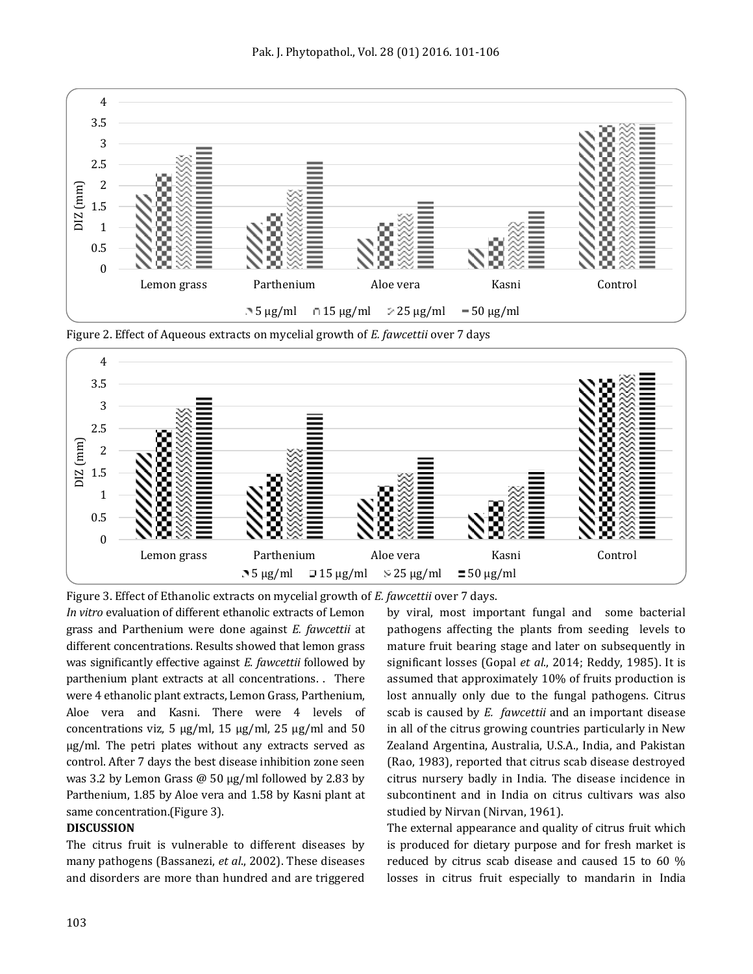

Figure 2. Effect of Aqueous extracts on mycelial growth of *E. fawcettii* over 7 days



*In vitro* evaluation of different ethanolic extracts of Lemon grass and Parthenium were done against *E. fawcettii* at different concentrations. Results showed that lemon grass was significantly effective against *E. fawcettii* followed by parthenium plant extracts at all concentrations. . There were 4 ethanolic plant extracts, Lemon Grass, Parthenium, Aloe vera and Kasni. There were 4 levels of concentrations viz, 5  $\mu$ g/ml, 15  $\mu$ g/ml, 25  $\mu$ g/ml and 50 µg/ml. The petri plates without any extracts served as control. After 7 days the best disease inhibition zone seen was 3.2 by Lemon Grass  $\omega$  50  $\mu$ g/ml followed by 2.83 by Parthenium, 1.85 by Aloe vera and 1.58 by Kasni plant at same concentration.(Figure 3).

#### **DISCUSSION**

The citrus fruit is vulnerable to different diseases by many pathogens (Bassanezi, *et al*., 2002). These diseases and disorders are more than hundred and are triggered by viral, most important fungal and some bacterial pathogens affecting the plants from seeding levels to mature fruit bearing stage and later on subsequently in significant losses (Gopal *et al*., 2014; Reddy, 1985). It is assumed that approximately 10% of fruits production is lost annually only due to the fungal pathogens. Citrus scab is caused by *E. fawcettii* and an important disease in all of the citrus growing countries particularly in New Zealand Argentina, Australia, U.S.A., India, and Pakistan (Rao, 1983), reported that citrus scab disease destroyed citrus nursery badly in India. The disease incidence in subcontinent and in India on citrus cultivars was also studied by Nirvan (Nirvan, 1961).

The external appearance and quality of citrus fruit which is produced for dietary purpose and for fresh market is reduced by citrus scab disease and caused 15 to 60 % losses in citrus fruit especially to mandarin in India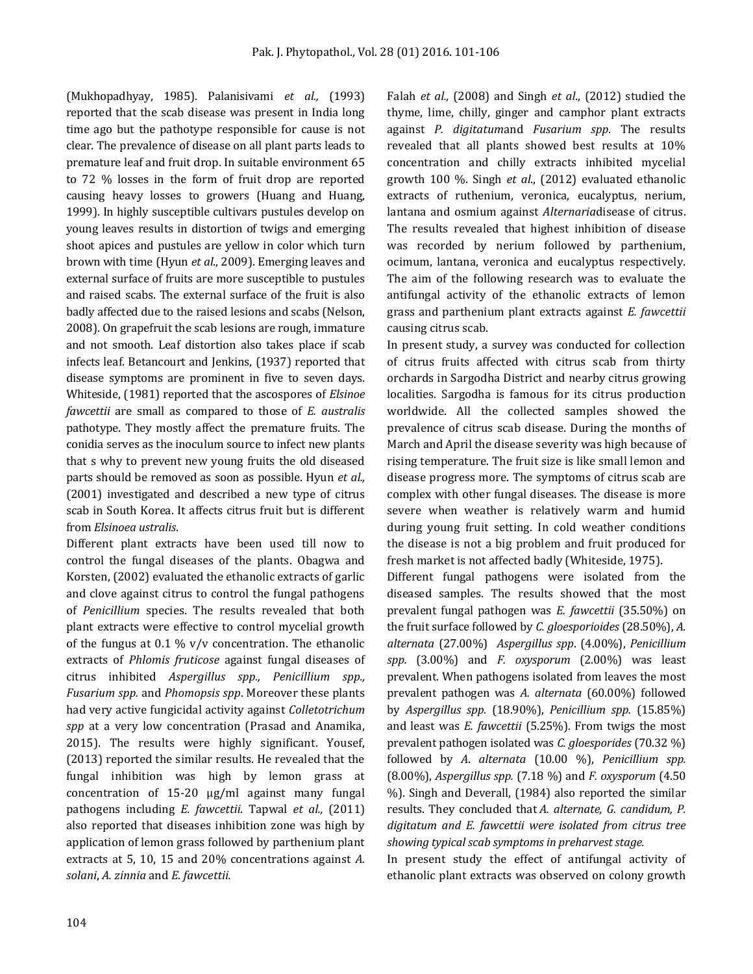(Mukhopadhyay, 1985). Palanisivami *et al.,* (1993) reported that the scab disease was present in India long time ago but the pathotype responsible for cause is not clear. The prevalence of disease on all plant parts leads to premature leaf and fruit drop. In suitable environment 65 to 72 % losses in the form of fruit drop are reported causing heavy losses to growers (Huang and Huang, 1999). In highly susceptible cultivars pustules develop on young leaves results in distortion of twigs and emerging shoot apices and pustules are yellow in color which turn brown with time (Hyun *et al*., 2009). Emerging leaves and external surface of fruits are more susceptible to pustules and raised scabs. The external surface of the fruit is also badly affected due to the raised lesions and scabs (Nelson, 2008). On grapefruit the scab lesions are rough, immature and not smooth. Leaf distortion also takes place if scab infects leaf. Betancourt and Jenkins, (1937) reported that disease symptoms are prominent in five to seven days. Whiteside, (1981) reported that the ascospores of *Elsinoe fawcettii* are small as compared to those of *E. australis* pathotype. They mostly affect the premature fruits. The conidia serves as the inoculum source to infect new plants that s why to prevent new young fruits the old diseased parts should be removed as soon as possible. Hyun *et al.,*  (2001) investigated and described a new type of citrus scab in South Korea. It affects citrus fruit but is different from *Elsinoea ustralis*.

Different plant extracts have been used till now to control the fungal diseases of the plants. Obagwa and Korsten, (2002) evaluated the ethanolic extracts of garlic and clove against citrus to control the fungal pathogens of *Penicillium* species. The results revealed that both plant extracts were effective to control mycelial growth of the fungus at 0.1 %  $v/v$  concentration. The ethanolic extracts of *Phlomis fruticose* against fungal diseases of citrus inhibited *Aspergillus spp., Penicillium spp., Fusarium spp.* and *Phomopsis spp*. Moreover these plants had very active fungicidal activity against *Colletotrichum spp* at a very low concentration (Prasad and Anamika, 2015). The results were highly significant. Yousef, (2013) reported the similar results. He revealed that the fungal inhibition was high by lemon grass at concentration of 15-20 µg/ml against many fungal pathogens including *E. fawcettii*. Tapwal *et al.,* (2011) also reported that diseases inhibition zone was high by application of lemon grass followed by parthenium plant extracts at 5, 10, 15 and 20% concentrations against *A. solani*, *A. zinnia* and *E. fawcettii.*

Falah *et al.,* (2008) and Singh *et al*., (2012) studied the thyme, lime, chilly, ginger and camphor plant extracts against *P. digitatum*and *Fusarium spp*. The results revealed that all plants showed best results at 10% concentration and chilly extracts inhibited mycelial growth 100 %. Singh *et al*., (2012) evaluated ethanolic extracts of ruthenium, veronica, eucalyptus, nerium, lantana and osmium against *Alternaria*disease of citrus. The results revealed that highest inhibition of disease was recorded by nerium followed by parthenium, ocimum, lantana, veronica and eucalyptus respectively. The aim of the following research was to evaluate the antifungal activity of the ethanolic extracts of lemon grass and parthenium plant extracts against *E. fawcettii* causing citrus scab.

In present study, a survey was conducted for collection of citrus fruits affected with citrus scab from thirty orchards in Sargodha District and nearby citrus growing localities. Sargodha is famous for its citrus production worldwide. All the collected samples showed the prevalence of citrus scab disease. During the months of March and April the disease severity was high because of rising temperature. The fruit size is like small lemon and disease progress more. The symptoms of citrus scab are complex with other fungal diseases. The disease is more severe when weather is relatively warm and humid during young fruit setting. In cold weather conditions the disease is not a big problem and fruit produced for fresh market is not affected badly (Whiteside, 1975).

Different fungal pathogens were isolated from the diseased samples. The results showed that the most prevalent fungal pathogen was *E. fawcettii* (35.50%) on the fruit surface followed by *C. gloesporioides* (28.50%), *A. alternata* (27.00%) *Aspergillus spp*. (4.00%), *Penicillium spp.* (3.00%) and *F. oxysporum* (2.00%) was least prevalent. When pathogens isolated from leaves the most prevalent pathogen was *A. alternata* (60.00%) followed by *Aspergillus spp.* (18.90%), *Penicillium spp.* (15.85%) and least was *E. fawcettii* (5.25%). From twigs the most prevalent pathogen isolated was *C. gloesporides* (70.32 %) followed by *A*. *alternata* (10.00 %), *Penicillium spp.*  (8.00%), *Aspergillus spp.* (7.18 %) and *F. oxysporum* (4.50 %). Singh and Deverall, (1984) also reported the similar results. They concluded that *A. alternate, G. candidum, P. digitatum and E. fawcettii were isolated from citrus tree showing typical scab symptoms in preharvest stage.*

In present study the effect of antifungal activity of ethanolic plant extracts was observed on colony growth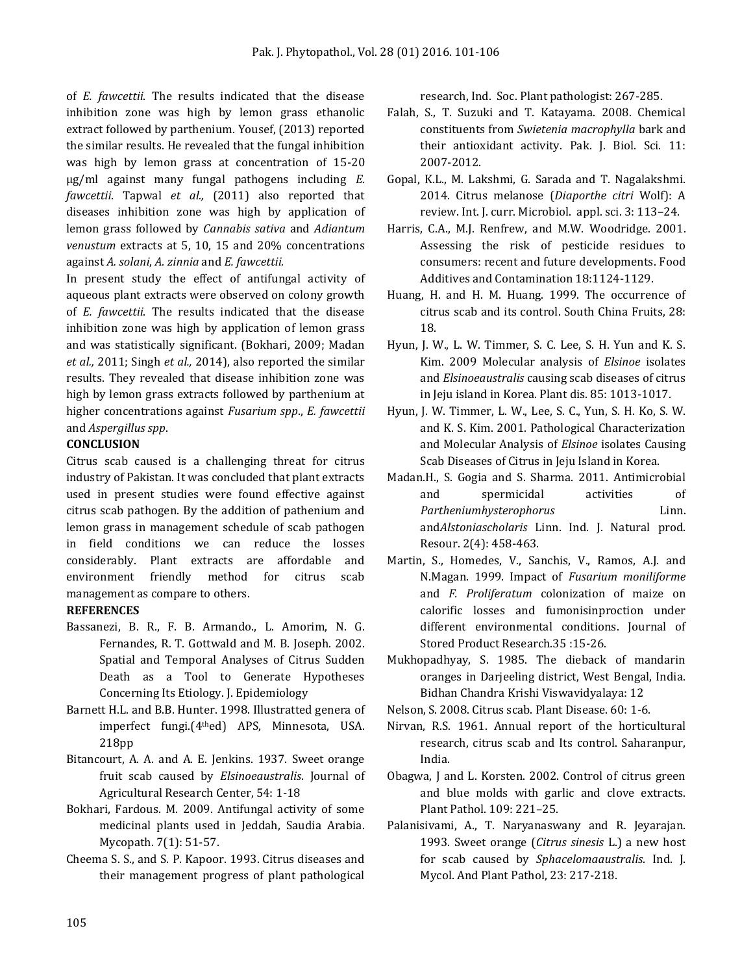of *E. fawcettii*. The results indicated that the disease inhibition zone was high by lemon grass ethanolic extract followed by parthenium. Yousef, (2013) reported the similar results. He revealed that the fungal inhibition was high by lemon grass at concentration of 15-20 µg/ml against many fungal pathogens including *E. fawcettii*. Tapwal *et al.,* (2011) also reported that diseases inhibition zone was high by application of lemon grass followed by *Cannabis sativa* and *Adiantum venustum* extracts at 5, 10, 15 and 20% concentrations against *A. solani*, *A. zinnia* and *E. fawcettii.*

In present study the effect of antifungal activity of aqueous plant extracts were observed on colony growth of *E. fawcettii*. The results indicated that the disease inhibition zone was high by application of lemon grass and was statistically significant. (Bokhari, 2009; Madan *et al.,* 2011; Singh *et al.,* 2014), also reported the similar results. They revealed that disease inhibition zone was high by lemon grass extracts followed by parthenium at higher concentrations against *Fusarium spp*., *E. fawcettii* and *Aspergillus spp*.

#### **CONCLUSION**

Citrus scab caused is a challenging threat for citrus industry of Pakistan. It was concluded that plant extracts used in present studies were found effective against citrus scab pathogen. By the addition of pathenium and lemon grass in management schedule of scab pathogen in field conditions we can reduce the losses considerably. Plant extracts are affordable and environment friendly method for citrus scab management as compare to others.

#### **REFERENCES**

- Bassanezi, B. R., F. B. Armando., L. Amorim, N. G. Fernandes, R. T. Gottwald and M. B. Joseph. 2002. Spatial and Temporal Analyses of Citrus Sudden Death as a Tool to Generate Hypotheses Concerning Its Etiology. J. Epidemiology
- Barnett H.L. and B.B. Hunter. 1998. Illustratted genera of imperfect fungi.(4thed) APS, Minnesota, USA. 218pp
- Bitancourt, A. A. and A. E. Jenkins. 1937. Sweet orange fruit scab caused by *Elsinoeaustralis*. Journal of Agricultural Research Center, 54: 1-18
- Bokhari, Fardous. M. 2009. Antifungal activity of some medicinal plants used in Jeddah, Saudia Arabia. Mycopath. 7(1): 51-57.
- Cheema S. S., and S. P. Kapoor. 1993. Citrus diseases and their management progress of plant pathological

research, Ind. Soc. Plant pathologist: 267-285.

- Falah, S., T. Suzuki and T. Katayama. 2008. Chemical constituents from *Swietenia macrophylla* bark and their antioxidant activity. Pak. J. Biol. Sci. 11: 2007-2012.
- Gopal, K.L., M. Lakshmi, G. Sarada and T. Nagalakshmi. 2014. Citrus melanose (*Diaporthe citri* Wolf): A review. Int. J. curr. Microbiol. appl. sci. 3: 113–24.
- Harris, C.A., M.J. Renfrew, and M.W. Woodridge. 2001. Assessing the risk of pesticide residues to consumers: recent and future developments. Food Additives and Contamination 18:1124-1129.
- Huang, H. and H. M. Huang. 1999. The occurrence of citrus scab and its control. South China Fruits, 28: 18.
- Hyun, J. W., L. W. Timmer, S. C. Lee, S. H. Yun and K. S. Kim. 2009 Molecular analysis of *Elsinoe* isolates and *Elsinoeaustralis* causing scab diseases of citrus in Jeju island in Korea. Plant dis. 85: 1013-1017.
- Hyun, J. W. Timmer, L. W., Lee, S. C., Yun, S. H. Ko, S. W. and K. S. Kim. 2001. Pathological Characterization and Molecular Analysis of *Elsinoe* isolates Causing Scab Diseases of Citrus in Jeju Island in Korea.
- Madan.H., S. Gogia and S. Sharma. 2011. Antimicrobial and spermicidal activities of *Partheniumhysterophorus* Linn. and*Alstoniascholaris* Linn. Ind. J. Natural prod. Resour. 2(4): 458-463.
- Martin, S., Homedes, V., Sanchis, V., Ramos, A.J. and N.Magan. 1999. Impact of *Fusarium moniliforme* and *F. Proliferatum* colonization of maize on calorific losses and fumonisinproction under different environmental conditions. Journal of Stored Product Research.35 :15-26.
- Mukhopadhyay, S. 1985. The dieback of mandarin oranges in Darjeeling district, West Bengal, India. Bidhan Chandra Krishi Viswavidyalaya: 12
- Nelson, S. 2008. Citrus scab. Plant Disease. 60: 1-6.
- Nirvan, R.S. 1961. Annual report of the horticultural research, citrus scab and Its control. Saharanpur, India.
- Obagwa, J and L. Korsten. 2002. Control of citrus green and blue molds with garlic and clove extracts. Plant Pathol. 109: 221–25.
- Palanisivami, A., T. Naryanaswany and R. Jeyarajan. 1993. Sweet orange (*Citrus sinesis* L.) a new host for scab caused by *Sphacelomaaustralis*. Ind. J. Mycol. And Plant Pathol, 23: 217-218.